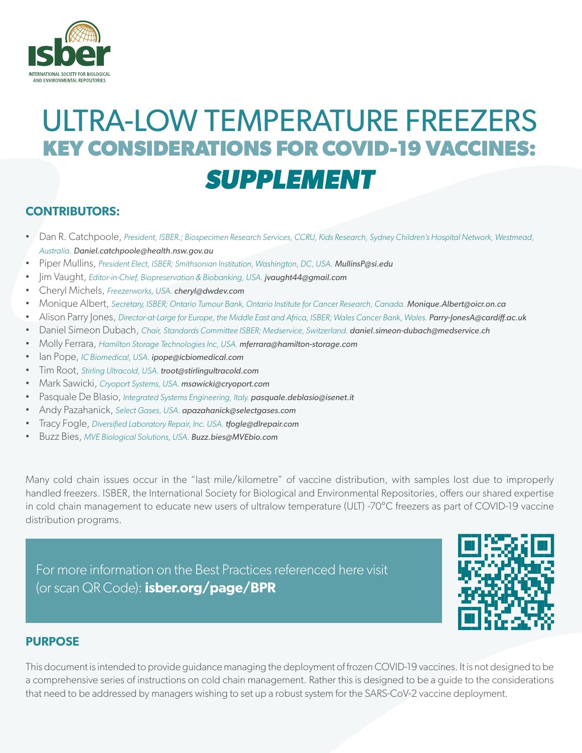

### **CONTRIBUTORS:**

- Dan R. Catchpoole, *President, ISBER.; Biospecimen Research Services, CCRU, Kids Research, Sydney Children's Hospital Network, Westmead, Australia. Daniel.catchpoole@health.nsw.gov.au*
- Piper Mullins, *President Elect, ISBER; Smithsonian Institution, Washington, DC, USA. MullinsP@si.edu*
- Jim Vaught, *Editor-in-Chief, Biopreservation & Biobanking, USA. jvaught44@gmail.com*
- Cheryl Michels, *Freezerworks, USA. cheryl@dwdev.com*
- Monique Albert, *Secretary, ISBER; Ontario Tumour Bank, Ontario Institute for Cancer Research, Canada. Monique.Albert@oicr.on.ca*
- Alison Parry Jones, *Director-at-Large for Europe, the Middle East and Africa, ISBER; Wales Cancer Bank, Wales. Parry-JonesA@cardiff.ac.uk*
- Daniel Simeon Dubach, *Chair, Standards Committee ISBER; Medservice, Switzerland. daniel.simeon-dubach@medservice.ch*
- Molly Ferrara, *Hamilton Storage Technologies Inc, USA. mferrara@hamilton-storage.com*
- Ian Pope, *IC Biomedical, USA. ipope@icbiomedical.com*
- Tim Root, *Stirling Ultracold, USA. troot@stirlingultracold.com*
- Mark Sawicki, *Cryoport Systems, USA. msawicki@cryoport.com*
- Pasquale De Blasio, *Integrated Systems Engineering, Italy. pasquale.deblasio@isenet.it*
- Andy Pazahanick, *Select Gases, USA. apazahanick@selectgases.com*
- Tracy Fogle, *Diversified Laboratory Repair, Inc. USA. tfogle@dlrepair.com*
- Buzz Bies, *MVE Biological Solutions, USA. Buzz.bies@MVEbio.com*

Many cold chain issues occur in the "last mile/kilometre" of vaccine distribution, with samples lost due to improperly handled freezers. ISBER, the International Society for Biological and Environmental Repositories, offers our shared expertise in cold chain management to educate new users of ultralow temperature (ULT) -70°C freezers as part of COVID-19 vaccine distribution programs.

For more information on the Best Practices referenced here visit (or scan QR Code): **[isber.org/page/BPR](http://www.isber.org/page/BPR)**



### **PURPOSE**

This document is intended to provide guidance managing the deployment of frozen COVID-19 vaccines. It is not designed to be a comprehensive series of instructions on cold chain management. Rather this is designed to be a guide to the considerations that need to be addressed by managers wishing to set up a robust system for the SARS-CoV-2 vaccine deployment.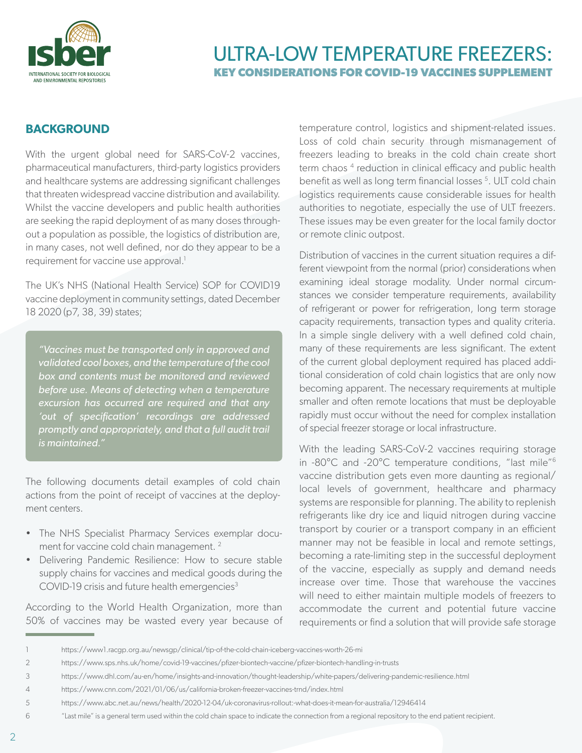

### **BACKGROUND**

With the urgent global need for SARS-CoV-2 vaccines, pharmaceutical manufacturers, third-party logistics providers and healthcare systems are addressing significant challenges that threaten widespread vaccine distribution and availability. Whilst the vaccine developers and public health authorities are seeking the rapid deployment of as many doses throughout a population as possible, the logistics of distribution are, in many cases, not well defined, nor do they appear to be a requirement for vaccine use approval.<sup>1</sup>

The UK's NHS (National Health Service) SOP for COVID19 vaccine deployment in community settings, dated December 18 2020 (p7, 38, 39) states;

*"Vaccines must be transported only in approved and validated cool boxes, and the temperature of the cool box and contents must be monitored and reviewed before use. Means of detecting when a temperature excursion has occurred are required and that any 'out of specification' recordings are addressed promptly and appropriately, and that a full audit trail is maintained."*

The following documents detail examples of cold chain actions from the point of receipt of vaccines at the deployment centers.

- The NHS Specialist Pharmacy Services exemplar document for vaccine cold chain management.<sup>2</sup>
- Delivering Pandemic Resilience: How to secure stable supply chains for vaccines and medical goods during the COVID-19 crisis and future health emergencies<sup>3</sup>

According to the World Health Organization, more than 50% of vaccines may be wasted every year because of temperature control, logistics and shipment-related issues. Loss of cold chain security through mismanagement of freezers leading to breaks in the cold chain create short term chaos<sup>4</sup> reduction in clinical efficacy and public health benefit as well as long term financial losses<sup>5</sup>. ULT cold chain logistics requirements cause considerable issues for health authorities to negotiate, especially the use of ULT freezers. These issues may be even greater for the local family doctor or remote clinic outpost.

Distribution of vaccines in the current situation requires a different viewpoint from the normal (prior) considerations when examining ideal storage modality. Under normal circumstances we consider temperature requirements, availability of refrigerant or power for refrigeration, long term storage capacity requirements, transaction types and quality criteria. In a simple single delivery with a well defined cold chain, many of these requirements are less significant. The extent of the current global deployment required has placed additional consideration of cold chain logistics that are only now becoming apparent. The necessary requirements at multiple smaller and often remote locations that must be deployable rapidly must occur without the need for complex installation of special freezer storage or local infrastructure.

With the leading SARS-CoV-2 vaccines requiring storage in -80°C and -20°C temperature conditions, "last mile"6 vaccine distribution gets even more daunting as regional/ local levels of government, healthcare and pharmacy systems are responsible for planning. The ability to replenish refrigerants like dry ice and liquid nitrogen during vaccine transport by courier or a transport company in an efficient manner may not be feasible in local and remote settings, becoming a rate-limiting step in the successful deployment of the vaccine, especially as supply and demand needs increase over time. Those that warehouse the vaccines will need to either maintain multiple models of freezers to accommodate the current and potential future vaccine requirements or find a solution that will provide safe storage

[<sup>1</sup> https://www1.racgp.org.au/newsgp/clinical/tip-of-the-cold-chain-iceberg-vaccines-worth-26-mi](https://www1.racgp.org.au/newsgp/clinical/tip-of-the-cold-chain-iceberg-vaccines-worth-26-mi)

<sup>2</sup> <https://www.sps.nhs.uk/home/covid-19-vaccines/pfizer-biontech-vaccine/pfizer-biontech-handling-in-trusts>

<sup>3</sup> <https://www.dhl.com/au-en/home/insights-and-innovation/thought-leadership/white-papers/delivering-pandemic-resilience.html>

<sup>4</sup> <https://www.cnn.com/2021/01/06/us/california-broken-freezer-vaccines-trnd/index.html>

<sup>5</sup> <https://www.abc.net.au/news/health/2020-12-04/uk-coronavirus-rollout:-what-does-it-mean-for-australia/12946414>

<sup>6 &</sup>quot;Last mile" is a general term used within the cold chain space to indicate the connection from a regional repository to the end patient recipient.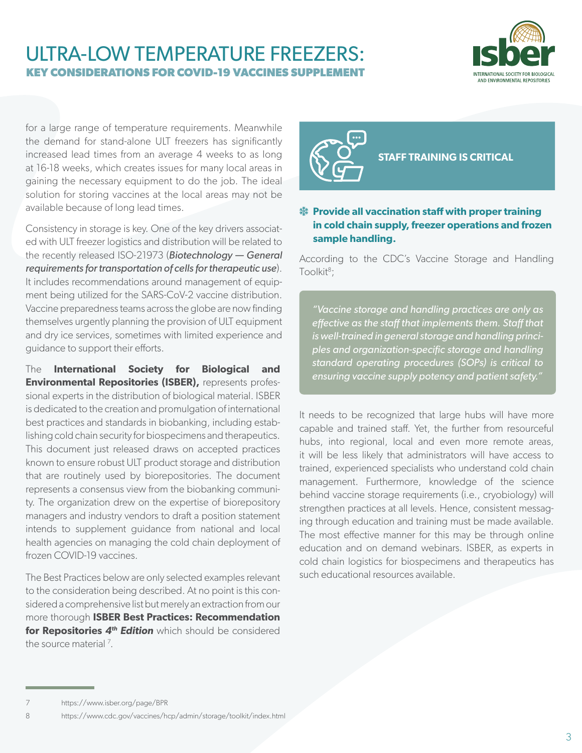

for a large range of temperature requirements. Meanwhile the demand for stand-alone ULT freezers has significantly increased lead times from an average 4 weeks to as long at 16-18 weeks, which creates issues for many local areas in gaining the necessary equipment to do the job. The ideal solution for storing vaccines at the local areas may not be available because of long lead times.

Consistency in storage is key. One of the key drivers associated with ULT freezer logistics and distribution will be related to the recently released ISO-21973 (*Biotechnology — General requirements for transportation of cells for therapeutic use*). It includes recommendations around management of equipment being utilized for the SARS-CoV-2 vaccine distribution. Vaccine preparedness teams across the globe are now finding themselves urgently planning the provision of ULT equipment and dry ice services, sometimes with limited experience and guidance to support their efforts.

The **International Society for Biological and Environmental Repositories (ISBER),** represents professional experts in the distribution of biological material. ISBER is dedicated to the creation and promulgation of international best practices and standards in biobanking, including establishing cold chain security for biospecimens and therapeutics. This document just released draws on accepted practices known to ensure robust ULT product storage and distribution that are routinely used by biorepositories. The document represents a consensus view from the biobanking community. The organization drew on the expertise of biorepository managers and industry vendors to draft a position statement intends to supplement guidance from national and local health agencies on managing the cold chain deployment of frozen COVID-19 vaccines.

The Best Practices below are only selected examples relevant to the consideration being described. At no point is this considered a comprehensive list but merely an extraction from our more thorough **ISBER Best Practices: Recommendation for Repositories** *4th Edition* which should be considered the source material<sup>7</sup>.



**STAFF TRAINING IS CRITICAL**

### **然 Provide all vaccination staff with proper training in cold chain supply, freezer operations and frozen sample handling.**

According to the CDC's Vaccine Storage and Handling Toolkit<sup>8</sup>;

*"Vaccine storage and handling practices are only as effective as the staff that implements them. Staff that is well-trained in general storage and handling principles and organization-specific storage and handling standard operating procedures (SOPs) is critical to ensuring vaccine supply potency and patient safety."*

It needs to be recognized that large hubs will have more capable and trained staff. Yet, the further from resourceful hubs, into regional, local and even more remote areas, it will be less likely that administrators will have access to trained, experienced specialists who understand cold chain management. Furthermore, knowledge of the science behind vaccine storage requirements (i.e., cryobiology) will strengthen practices at all levels. Hence, consistent messaging through education and training must be made available. The most effective manner for this may be through online education and on demand webinars. ISBER, as experts in cold chain logistics for biospecimens and therapeutics has such educational resources available.

<sup>7</sup> <https://www.isber.org/page/BPR>

<sup>8</sup> <https://www.cdc.gov/vaccines/hcp/admin/storage/toolkit/index.html>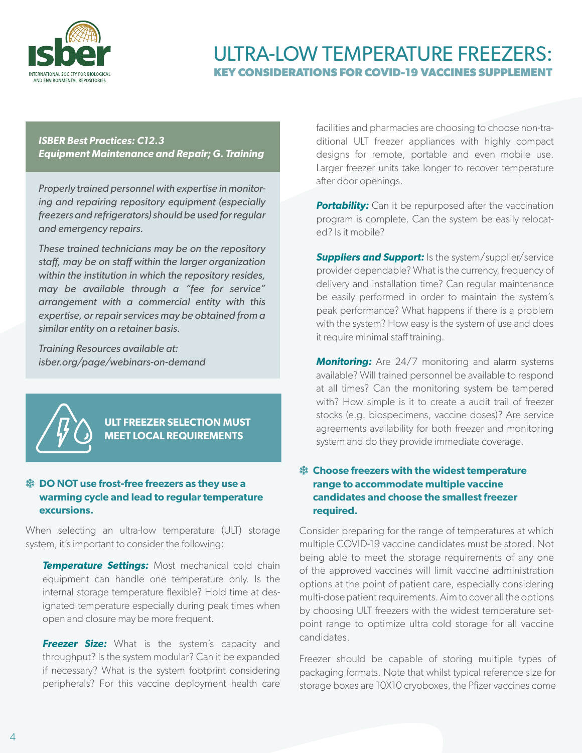

*ISBER Best Practices: C12.3 Equipment Maintenance and Repair; G. Training*

*Properly trained personnel with expertise in monitoring and repairing repository equipment (especially freezers and refrigerators) should be used for regular and emergency repairs.*

*These trained technicians may be on the repository staff, may be on staff within the larger organization within the institution in which the repository resides, may be available through a "fee for service" arrangement with a commercial entity with this expertise, or repair services may be obtained from a similar entity on a retainer basis.* 

*Training Resources available at: isber.org/page/webinars-on-demand*



### **ULT FREEZER SELECTION MUST MEET LOCAL REQUIREMENTS**

### **<sup>\$</sup> DO NOT use frost-free freezers as they use a warming cycle and lead to regular temperature excursions.**

When selecting an ultra-low temperature (ULT) storage system, it's important to consider the following:

**Temperature Settings:** Most mechanical cold chain equipment can handle one temperature only. Is the internal storage temperature flexible? Hold time at designated temperature especially during peak times when open and closure may be more frequent.

**Freezer Size:** What is the system's capacity and throughput? Is the system modular? Can it be expanded if necessary? What is the system footprint considering peripherals? For this vaccine deployment health care facilities and pharmacies are choosing to choose non-traditional ULT freezer appliances with highly compact designs for remote, portable and even mobile use. Larger freezer units take longer to recover temperature after door openings.

**Portability:** Can it be repurposed after the vaccination program is complete. Can the system be easily relocated? Is it mobile?

**Suppliers and Support:** Is the system/supplier/service provider dependable? What is the currency, frequency of delivery and installation time? Can regular maintenance be easily performed in order to maintain the system's peak performance? What happens if there is a problem with the system? How easy is the system of use and does it require minimal staff training.

**Monitoring:** Are 24/7 monitoring and alarm systems available? Will trained personnel be available to respond at all times? Can the monitoring system be tampered with? How simple is it to create a audit trail of freezer stocks (e.g. biospecimens, vaccine doses)? Are service agreements availability for both freezer and monitoring system and do they provide immediate coverage.

### **<sup>\$</sup> Choose freezers with the widest temperature range to accommodate multiple vaccine candidates and choose the smallest freezer required.**

Consider preparing for the range of temperatures at which multiple COVID-19 vaccine candidates must be stored. Not being able to meet the storage requirements of any one of the approved vaccines will limit vaccine administration options at the point of patient care, especially considering multi-dose patient requirements. Aim to cover all the options by choosing ULT freezers with the widest temperature setpoint range to optimize ultra cold storage for all vaccine candidates.

Freezer should be capable of storing multiple types of packaging formats. Note that whilst typical reference size for storage boxes are 10X10 cryoboxes, the Pfizer vaccines come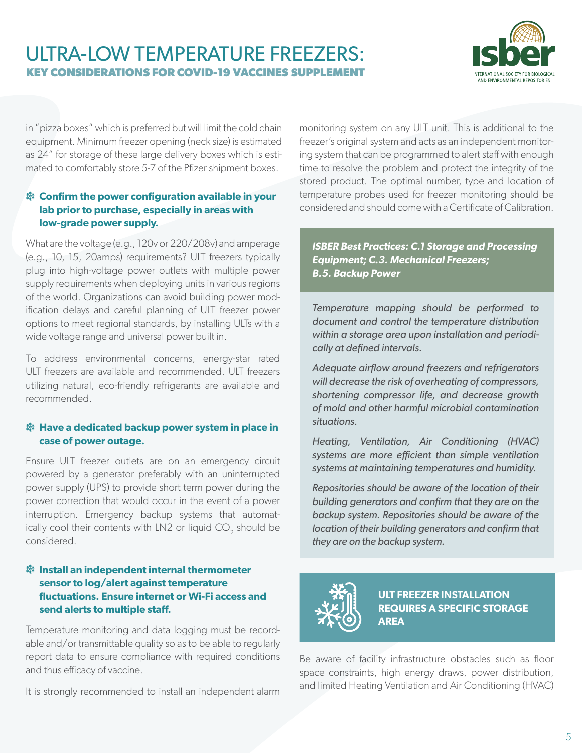

in "pizza boxes" which is preferred but will limit the cold chain equipment. Minimum freezer opening (neck size) is estimated as 24" for storage of these large delivery boxes which is estimated to comfortably store 5-7 of the Pfizer shipment boxes.

### $*$  Confirm the power configuration available in your **lab prior to purchase, especially in areas with low-grade power supply.**

What are the voltage (e.g., 120v or 220/208v) and amperage (e.g., 10, 15, 20amps) requirements? ULT freezers typically plug into high-voltage power outlets with multiple power supply requirements when deploying units in various regions of the world. Organizations can avoid building power modification delays and careful planning of ULT freezer power options to meet regional standards, by installing ULTs with a wide voltage range and universal power built in.

To address environmental concerns, energy-star rated ULT freezers are available and recommended. ULT freezers utilizing natural, eco-friendly refrigerants are available and recommended.

### **※ Have a dedicated backup power system in place in case of power outage.**

Ensure ULT freezer outlets are on an emergency circuit powered by a generator preferably with an uninterrupted power supply (UPS) to provide short term power during the power correction that would occur in the event of a power interruption. Emergency backup systems that automatically cool their contents with LN2 or liquid CO<sub>2</sub> should be considered.

### p **Install an independent internal thermometer sensor to log/alert against temperature fluctuations. Ensure internet or Wi-Fi access and send alerts to multiple staff.**

Temperature monitoring and data logging must be recordable and/or transmittable quality so as to be able to regularly report data to ensure compliance with required conditions and thus efficacy of vaccine.

It is strongly recommended to install an independent alarm

monitoring system on any ULT unit. This is additional to the freezer's original system and acts as an independent monitoring system that can be programmed to alert staff with enough time to resolve the problem and protect the integrity of the stored product. The optimal number, type and location of temperature probes used for freezer monitoring should be considered and should come with a Certificate of Calibration.

*ISBER Best Practices: C.1 Storage and Processing Equipment; C.3. Mechanical Freezers; B.5. Backup Power*

*Temperature mapping should be performed to document and control the temperature distribution within a storage area upon installation and periodically at defined intervals.*

*Adequate airflow around freezers and refrigerators will decrease the risk of overheating of compressors, shortening compressor life, and decrease growth of mold and other harmful microbial contamination situations.*

*Heating, Ventilation, Air Conditioning (HVAC) systems are more efficient than simple ventilation systems at maintaining temperatures and humidity.*

*Repositories should be aware of the location of their building generators and confirm that they are on the backup system. Repositories should be aware of the location of their building generators and confirm that they are on the backup system.*



**ULT FREEZER INSTALLATION REQUIRES A SPECIFIC STORAGE AREA**

Be aware of facility infrastructure obstacles such as floor space constraints, high energy draws, power distribution, and limited Heating Ventilation and Air Conditioning (HVAC)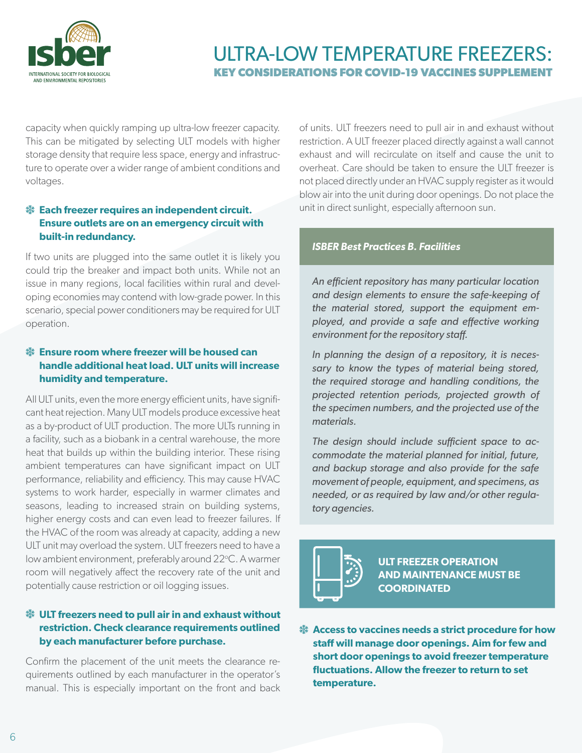

capacity when quickly ramping up ultra-low freezer capacity. This can be mitigated by selecting ULT models with higher storage density that require less space, energy and infrastructure to operate over a wider range of ambient conditions and voltages.

### $\frac{4}{30}$  **Each freezer requires an independent circuit. Ensure outlets are on an emergency circuit with built-in redundancy.**

If two units are plugged into the same outlet it is likely you could trip the breaker and impact both units. While not an issue in many regions, local facilities within rural and developing economies may contend with low-grade power. In this scenario, special power conditioners may be required for ULT operation.

### $\frac{4}{32}$  Ensure room where freezer will be housed can **handle additional heat load. ULT units will increase humidity and temperature.**

All ULT units, even the more energy efficient units, have significant heat rejection. Many ULT models produce excessive heat as a by-product of ULT production. The more ULTs running in a facility, such as a biobank in a central warehouse, the more heat that builds up within the building interior. These rising ambient temperatures can have significant impact on ULT performance, reliability and efficiency. This may cause HVAC systems to work harder, especially in warmer climates and seasons, leading to increased strain on building systems, higher energy costs and can even lead to freezer failures. If the HVAC of the room was already at capacity, adding a new ULT unit may overload the system. ULT freezers need to have a low ambient environment, preferably around 22°C. A warmer room will negatively affect the recovery rate of the unit and potentially cause restriction or oil logging issues.

### $\frac{4}{3}$  **ULT freezers need to pull air in and exhaust without restriction. Check clearance requirements outlined by each manufacturer before purchase.**

Confirm the placement of the unit meets the clearance requirements outlined by each manufacturer in the operator's manual. This is especially important on the front and back of units. ULT freezers need to pull air in and exhaust without restriction. A ULT freezer placed directly against a wall cannot exhaust and will recirculate on itself and cause the unit to overheat. Care should be taken to ensure the ULT freezer is not placed directly under an HVAC supply register as it would blow air into the unit during door openings. Do not place the unit in direct sunlight, especially afternoon sun.

#### *ISBER Best Practices B. Facilities*

*An efficient repository has many particular location and design elements to ensure the safe-keeping of the material stored, support the equipment employed, and provide a safe and effective working environment for the repository staff.* 

*In planning the design of a repository, it is necessary to know the types of material being stored, the required storage and handling conditions, the projected retention periods, projected growth of the specimen numbers, and the projected use of the materials.* 

*The design should include sufficient space to accommodate the material planned for initial, future, and backup storage and also provide for the safe movement of people, equipment, and specimens, as needed, or as required by law and/or other regulatory agencies.*



**ULT FREEZER OPERATION AND MAINTENANCE MUST BE COORDINATED**

p **Access to vaccines needs a strict procedure for how staff will manage door openings. Aim for few and short door openings to avoid freezer temperature fluctuations. Allow the freezer to return to set temperature.**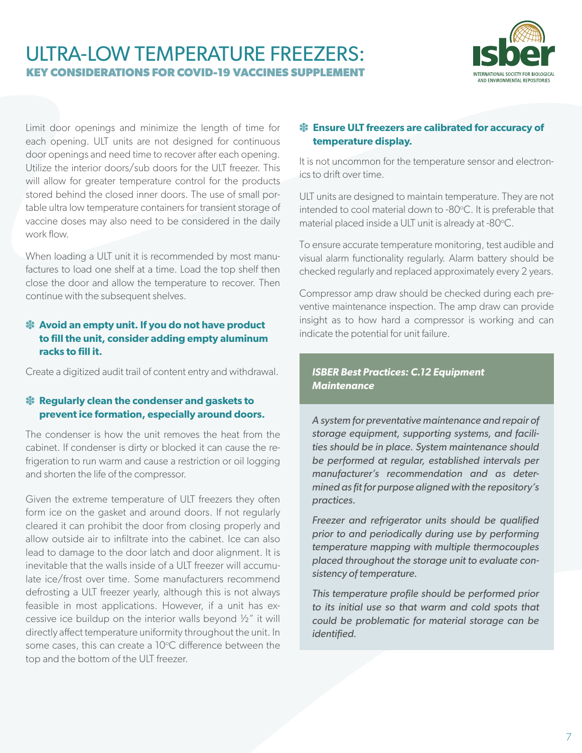

Limit door openings and minimize the length of time for each opening. ULT units are not designed for continuous door openings and need time to recover after each opening. Utilize the interior doors/sub doors for the ULT freezer. This will allow for greater temperature control for the products stored behind the closed inner doors. The use of small portable ultra low temperature containers for transient storage of vaccine doses may also need to be considered in the daily work flow.

When loading a ULT unit it is recommended by most manufactures to load one shelf at a time. Load the top shelf then close the door and allow the temperature to recover. Then continue with the subsequent shelves.

### $\frac{4b}{3}$  **Avoid an empty unit. If you do not have product to fill the unit, consider adding empty aluminum racks to fill it.**

Create a digitized audit trail of content entry and withdrawal.

### **然 Regularly clean the condenser and gaskets to prevent ice formation, especially around doors.**

The condenser is how the unit removes the heat from the cabinet. If condenser is dirty or blocked it can cause the refrigeration to run warm and cause a restriction or oil logging and shorten the life of the compressor.

Given the extreme temperature of ULT freezers they often form ice on the gasket and around doors. If not regularly cleared it can prohibit the door from closing properly and allow outside air to infiltrate into the cabinet. Ice can also lead to damage to the door latch and door alignment. It is inevitable that the walls inside of a ULT freezer will accumulate ice/frost over time. Some manufacturers recommend defrosting a ULT freezer yearly, although this is not always feasible in most applications. However, if a unit has excessive ice buildup on the interior walls beyond ½" it will directly affect temperature uniformity throughout the unit. In some cases, this can create a 10°C difference between the top and the bottom of the ULT freezer.

### $\frac{4}{3}$  **Ensure ULT freezers are calibrated for accuracy of temperature display.**

It is not uncommon for the temperature sensor and electronics to drift over time.

ULT units are designed to maintain temperature. They are not intended to cool material down to -80°C. It is preferable that material placed inside a ULT unit is already at -80°C.

To ensure accurate temperature monitoring, test audible and visual alarm functionality regularly. Alarm battery should be checked regularly and replaced approximately every 2 years.

Compressor amp draw should be checked during each preventive maintenance inspection. The amp draw can provide insight as to how hard a compressor is working and can indicate the potential for unit failure.

### *ISBER Best Practices: C.12 Equipment Maintenance*

*A system for preventative maintenance and repair of storage equipment, supporting systems, and facilities should be in place. System maintenance should be performed at regular, established intervals per manufacturer's recommendation and as determined as fit for purpose aligned with the repository's practices.*

*Freezer and refrigerator units should be qualified prior to and periodically during use by performing temperature mapping with multiple thermocouples placed throughout the storage unit to evaluate consistency of temperature.* 

*This temperature profile should be performed prior to its initial use so that warm and cold spots that could be problematic for material storage can be identified.*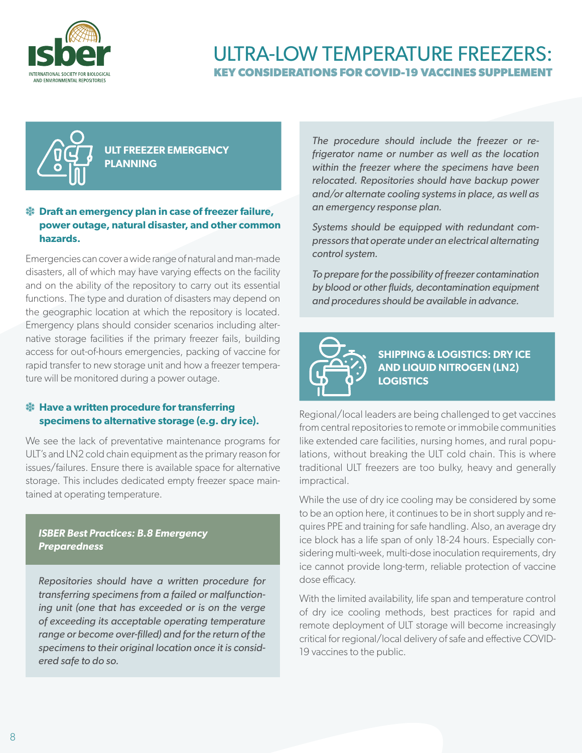



**ULT FREEZER EMERGENCY PLANNING**

### $\frac{4}{3}$  **Draft an emergency plan in case of freezer failure, power outage, natural disaster, and other common hazards.**

Emergencies can cover a wide range of natural and man-made disasters, all of which may have varying effects on the facility and on the ability of the repository to carry out its essential functions. The type and duration of disasters may depend on the geographic location at which the repository is located. Emergency plans should consider scenarios including alternative storage facilities if the primary freezer fails, building access for out-of-hours emergencies, packing of vaccine for rapid transfer to new storage unit and how a freezer temperature will be monitored during a power outage.

### **<sup>\$</sup> Have a written procedure for transferring specimens to alternative storage (e.g. dry ice).**

We see the lack of preventative maintenance programs for ULT's and LN2 cold chain equipment as the primary reason for issues/failures. Ensure there is available space for alternative storage. This includes dedicated empty freezer space maintained at operating temperature.

### *ISBER Best Practices: B.8 Emergency Preparedness*

*Repositories should have a written procedure for transferring specimens from a failed or malfunctioning unit (one that has exceeded or is on the verge of exceeding its acceptable operating temperature range or become over-filled) and for the return of the specimens to their original location once it is considered safe to do so.* 

*The procedure should include the freezer or refrigerator name or number as well as the location within the freezer where the specimens have been relocated. Repositories should have backup power and/or alternate cooling systems in place, as well as an emergency response plan.* 

*Systems should be equipped with redundant compressors that operate under an electrical alternating control system.* 

*To prepare for the possibility of freezer contamination by blood or other fluids, decontamination equipment and procedures should be available in advance.*



**SHIPPING & LOGISTICS: DRY ICE AND LIQUID NITROGEN (LN2) LOGISTICS**

Regional/local leaders are being challenged to get vaccines from central repositories to remote or immobile communities like extended care facilities, nursing homes, and rural populations, without breaking the ULT cold chain. This is where traditional ULT freezers are too bulky, heavy and generally impractical.

While the use of dry ice cooling may be considered by some to be an option here, it continues to be in short supply and requires PPE and training for safe handling. Also, an average dry ice block has a life span of only 18-24 hours. Especially considering multi-week, multi-dose inoculation requirements, dry ice cannot provide long-term, reliable protection of vaccine dose efficacy.

With the limited availability, life span and temperature control of dry ice cooling methods, best practices for rapid and remote deployment of ULT storage will become increasingly critical for regional/local delivery of safe and effective COVID-19 vaccines to the public.